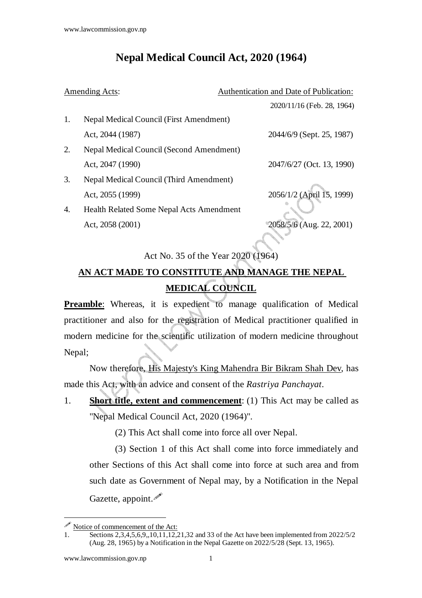## **Nepal Medical Council Act, 2020 (1964)**

| Amending Acts: |                                                 | Authentication and Date of Publication: |
|----------------|-------------------------------------------------|-----------------------------------------|
|                |                                                 | 2020/11/16 (Feb. 28, 1964)              |
| 1.             | <b>Nepal Medical Council (First Amendment)</b>  |                                         |
|                | Act, 2044 (1987)                                | 2044/6/9 (Sept. 25, 1987)               |
| 2.             | Nepal Medical Council (Second Amendment)        |                                         |
|                | Act, 2047 (1990)                                | 2047/6/27 (Oct. 13, 1990)               |
| 3.             | Nepal Medical Council (Third Amendment)         |                                         |
|                | Act, 2055 (1999)                                | 2056/1/2 (April 15, 1999)               |
| 4.             | <b>Health Related Some Nepal Acts Amendment</b> |                                         |
|                | Act, 2058 (2001)                                | $2058/5/6$ (Aug. 22, 2001)              |
|                |                                                 |                                         |

Act No. 35 of the Year 2020 (1964)

## **AN ACT MADE TO CONSTITUTE AND MANAGE THE NEPAL MEDICAL COUNCIL**

**Preamble:** Whereas, it is expedient to manage qualification of Medical practitioner and also for the registration of Medical practitioner qualified in modern medicine for the scientific utilization of modern medicine throughout Nepal;

Now therefore, His Majesty's King Mahendra Bir Bikram Shah Dev, has made this Act, with an advice and consent of the *Rastriya Panchayat*.

1. **Short title, extent and commencement**: (1) This Act may be called as "Nepal Medical Council Act, 2020 (1964)".

(2) This Act shall come into force all over Nepal.

(3) Section 1 of this Act shall come into force immediately and other Sections of this Act shall come into force at such area and from such date as Government of Nepal may, by a Notification in the Nepal Gazette, appoint.

Notice of commencement of the Act:

<sup>1.</sup> Sections 2,3,4,5,6,9,,10,11,12,21,32 and 33 of the Act have been implemented from 2022/5/2 (Aug. 28, 1965) by a Notification in the Nepal Gazette on 2022/5/28 (Sept. 13, 1965).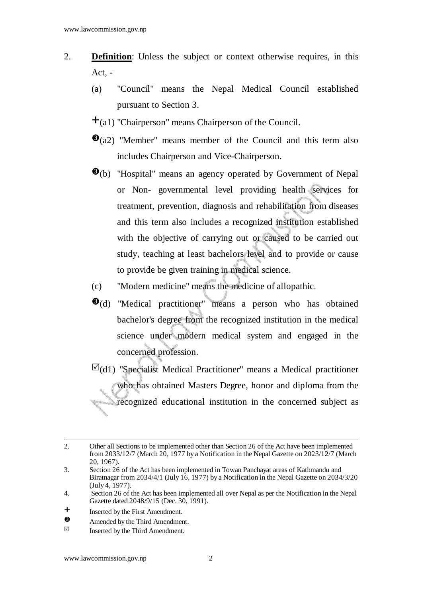- 2. **Definition**: Unless the subject or context otherwise requires, in this Act, -
	- (a) "Council" means the Nepal Medical Council established pursuant to Section 3.
	- $\pm$ (a1) "Chairperson" means Chairperson of the Council.
	- $\Theta$ (a2) "Member" means member of the Council and this term also includes Chairperson and Vice-Chairperson.
	- $\Theta$ (b) "Hospital" means an agency operated by Government of Nepal or Non- governmental level providing health services for treatment, prevention, diagnosis and rehabilitation from diseases and this term also includes a recognized institution established with the objective of carrying out or caused to be carried out study, teaching at least bachelors level and to provide or cause to provide be given training in medical science.
	- (c) "Modern medicine" means the medicine of allopathic.
	- $\Theta$ (d) "Medical practitioner" means a person who has obtained bachelor's degree from the recognized institution in the medical science under modern medical system and engaged in the concerned profession.
	- $\boxtimes$ (d1) "Specialist Medical Practitioner" means a Medical practitioner who has obtained Masters Degree, honor and diploma from the recognized educational institution in the concerned subject as

l 2. Other all Sections to be implemented other than Section 26 of the Act have been implemented from 2033/12/7 (March 20, 1977 by a Notification in the Nepal Gazette on 2023/12/7 (March 20, 1967).

<sup>3.</sup> Section 26 of the Act has been implemented in Towan Panchayat areas of Kathmandu and Biratnagar from 2034/4/1 (July 16, 1977) by a Notification in the Nepal Gazette on 2034/3/20 (July 4, 1977).

<sup>4.</sup> Section 26 of the Act has been implemented all over Nepal as per the Notification in the Nepal Gazette dated 2048/9/15 (Dec. 30, 1991).

<sup>&</sup>lt;sup>+</sup> Inserted by the First Amendment.

 $\bullet$  $\bullet$  Amended by the Third Amendment.

Inserted by the Third Amendment.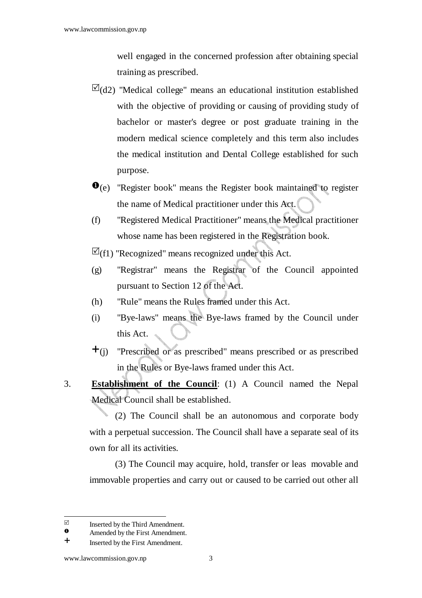well engaged in the concerned profession after obtaining special training as prescribed.

- $\boxtimes$ (d2) "Medical college" means an educational institution established with the objective of providing or causing of providing study of bachelor or master's degree or post graduate training in the modern medical science completely and this term also includes the medical institution and Dental College established for such purpose.
- $\bullet$ (e) "Register book" means the Register book maintained to register the name of Medical practitioner under this Act.
- (f) "Registered Medical Practitioner" means the Medical practitioner whose name has been registered in the Registration book.
- $\boxtimes$ (f1) "Recognized" means recognized under this Act.
- (g) "Registrar" means the Registrar of the Council appointed pursuant to Section 12 of the Act.
- (h) "Rule" means the Rules framed under this Act.
- (i) "Bye-laws" means the Bye-laws framed by the Council under this Act.
- $\pm$ (j) "Prescribed or as prescribed" means prescribed or as prescribed in the Rules or Bye-laws framed under this Act.
- 3. **Establishment of the Council**: (1) A Council named the Nepal Medical Council shall be established.

(2) The Council shall be an autonomous and corporate body with a perpetual succession. The Council shall have a separate seal of its own for all its activities.

(3) The Council may acquire, hold, transfer or leas movable and immovable properties and carry out or caused to be carried out other all

 $\overline{\mathsf{M}}$  $\Box$  Inserted by the Third Amendment.<br>  $\Omega$  Amended by the First Amendment.

 $\bullet$  Amended by the First Amendment.<br>  $\bullet$  Insected by the First Amendment

Inserted by the First Amendment.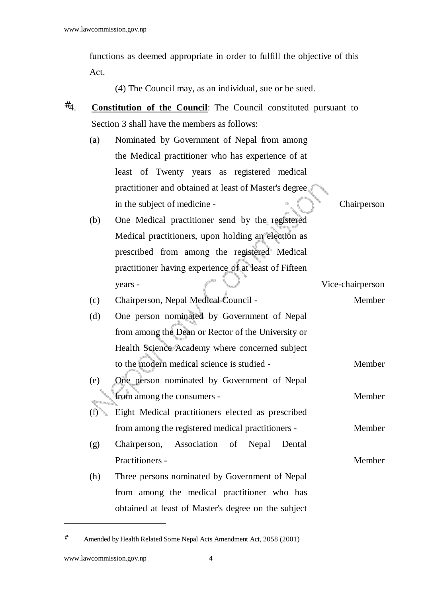functions as deemed appropriate in order to fulfill the objective of this Act.

(4) The Council may, as an individual, sue or be sued.

- #4. **Constitution of the Council**: The Council constituted pursuant to Section 3 shall have the members as follows:
	- (a) Nominated by Government of Nepal from among the Medical practitioner who has experience of at least of Twenty years as registered medical practitioner and obtained at least of Master's degree in the subject of medicine - Chairperson

(b) One Medical practitioner send by the registered Medical practitioners, upon holding an election as prescribed from among the registered Medical practitioner having experience of at least of Fifteen years - Vice-chairperson

- (c) Chairperson, Nepal Medical Council Member
- (d) One person nominated by Government of Nepal from among the Dean or Rector of the University or Health Science Academy where concerned subject to the modern medical science is studied - Member
- (e) One person nominated by Government of Nepal from among the consumers - The Member
- (f) Eight Medical practitioners elected as prescribed from among the registered medical practitioners - Member
- (g) Chairperson, Association of Nepal Dental Practitioners - Member
- (h) Three persons nominated by Government of Nepal from among the medical practitioner who has obtained at least of Master's degree on the subject

-

Amended by Health Related Some Nepal Acts Amendment Act, 2058 (2001)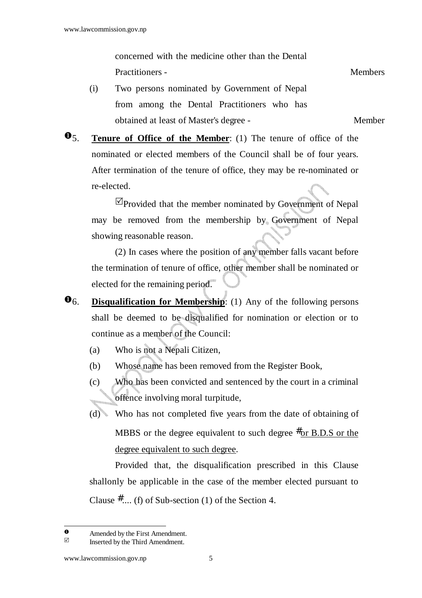concerned with the medicine other than the Dental Practitioners - Members - Members - Members - Members - Members - Members - Members - Members - Members - Members - Members - Members - Members - Members - Members - Members - Members - Members - Members - Members - Member

(i) Two persons nominated by Government of Nepal from among the Dental Practitioners who has obtained at least of Master's degree - Member

5. **Tenure of Office of the Member**: (1) The tenure of office of the nominated or elected members of the Council shall be of four years. After termination of the tenure of office, they may be re-nominated or re-elected.

 Provided that the member nominated by Government of Nepal may be removed from the membership by Government of Nepal showing reasonable reason.

 (2) In cases where the position of any member falls vacant before the termination of tenure of office, other member shall be nominated or elected for the remaining period.

6. **Disqualification for Membership**: (1) Any of the following persons shall be deemed to be disqualified for nomination or election or to continue as a member of the Council:

(a) Who is not a Nepali Citizen,

- (b) Whose name has been removed from the Register Book,
- (c) Who has been convicted and sentenced by the court in a criminal offence involving moral turpitude,
- (d) Who has not completed five years from the date of obtaining of MBBS or the degree equivalent to such degree  $\#$  or B.D.S or the degree equivalent to such degree.

Provided that, the disqualification prescribed in this Clause shallonly be applicable in the case of the member elected pursuant to Clause  $\#$ .... (f) of Sub-section (1) of the Section 4.

 $\bullet$  Amended by the First Amendment.

Inserted by the Third Amendment.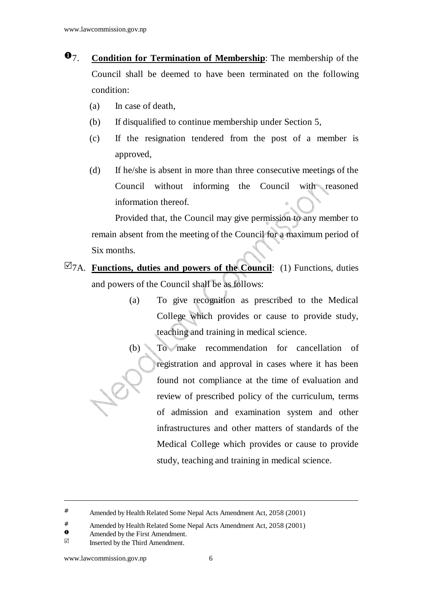- 7. **Condition for Termination of Membership**: The membership of the Council shall be deemed to have been terminated on the following condition:
	- (a) In case of death,
	- (b) If disqualified to continue membership under Section 5,
	- (c) If the resignation tendered from the post of a member is approved,
	- (d) If he/she is absent in more than three consecutive meetings of the Council without informing the Council with reasoned information thereof.

 Provided that, the Council may give permission to any member to remain absent from the meeting of the Council for a maximum period of Six months.

- $\boxtimes$ <sub>7A.</sub> **Functions, duties and powers of the Council:** (1) Functions, duties and powers of the Council shall be as follows:
	- (a) To give recognition as prescribed to the Medical College which provides or cause to provide study, teaching and training in medical science.
	- (b) To make recommendation for cancellation of registration and approval in cases where it has been found not compliance at the time of evaluation and review of prescribed policy of the curriculum, terms of admission and examination system and other infrastructures and other matters of standards of the Medical College which provides or cause to provide study, teaching and training in medical science.

- $\bullet$  Amended by the First Amendment.
- Inserted by the Third Amendment.

<sup>#</sup> Amended by Health Related Some Nepal Acts Amendment Act, 2058 (2001)

<sup>&</sup>lt;sup>#</sup> Amended by Health Related Some Nepal Acts Amendment Act, 2058 (2001)<br> **●** Amended by the First Amendment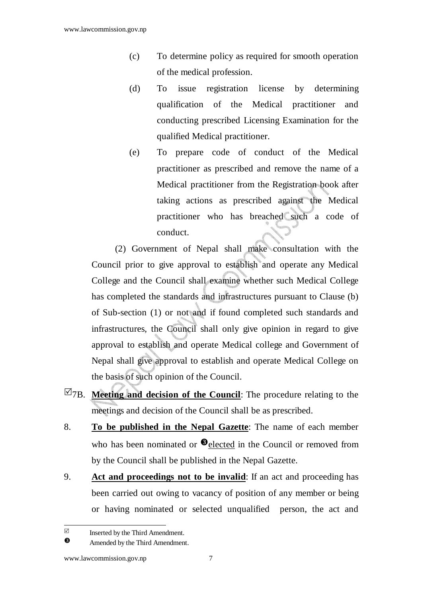- (c) To determine policy as required for smooth operation of the medical profession.
- (d) To issue registration license by determining qualification of the Medical practitioner and conducting prescribed Licensing Examination for the qualified Medical practitioner.
- (e) To prepare code of conduct of the Medical practitioner as prescribed and remove the name of a Medical practitioner from the Registration book after taking actions as prescribed against the Medical practitioner who has breached such a code of conduct.

 (2) Government of Nepal shall make consultation with the Council prior to give approval to establish and operate any Medical College and the Council shall examine whether such Medical College has completed the standards and infrastructures pursuant to Clause (b) of Sub-section (1) or not and if found completed such standards and infrastructures, the Council shall only give opinion in regard to give approval to establish and operate Medical college and Government of Nepal shall give approval to establish and operate Medical College on the basis of such opinion of the Council.

- $\boxtimes$ <sub>7B</sub>. **Meeting and decision of the Council**: The procedure relating to the meetings and decision of the Council shall be as prescribed.
- 8. **To be published in the Nepal Gazette**: The name of each member who has been nominated or  $\bullet$  elected in the Council or removed from by the Council shall be published in the Nepal Gazette.
- 9. **Act and proceedings not to be invalid**: If an act and proceeding has been carried out owing to vacancy of position of any member or being or having nominated or selected unqualified person, the act and

 $\triangledown$ Inserted by the Third Amendment.

 $\bullet$ Amended by the Third Amendment.

www.lawcommission.gov.np 7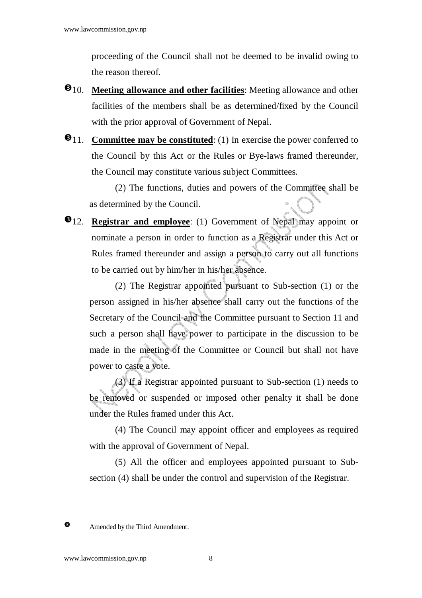proceeding of the Council shall not be deemed to be invalid owing to the reason thereof.

- $\bullet$  10. **Meeting allowance and other facilities**: Meeting allowance and other facilities of the members shall be as determined/fixed by the Council with the prior approval of Government of Nepal.
- **0**11. **Committee may be constituted**: (1) In exercise the power conferred to the Council by this Act or the Rules or Bye-laws framed thereunder, the Council may constitute various subject Committees.

(2) The functions, duties and powers of the Committee shall be as determined by the Council.

**0**12. **Registrar and employee**: (1) Government of Nepal may appoint or nominate a person in order to function as a Registrar under this Act or Rules framed thereunder and assign a person to carry out all functions to be carried out by him/her in his/her absence.

(2) The Registrar appointed pursuant to Sub-section (1) or the person assigned in his/her absence shall carry out the functions of the Secretary of the Council and the Committee pursuant to Section 11 and such a person shall have power to participate in the discussion to be made in the meeting of the Committee or Council but shall not have power to caste a vote.

(3) If a Registrar appointed pursuant to Sub-section (1) needs to be removed or suspended or imposed other penalty it shall be done under the Rules framed under this Act.

(4) The Council may appoint officer and employees as required with the approval of Government of Nepal.

(5) All the officer and employees appointed pursuant to Subsection (4) shall be under the control and supervision of the Registrar.

l  $\ddot{\mathbf{e}}$ 

Amended by the Third Amendment.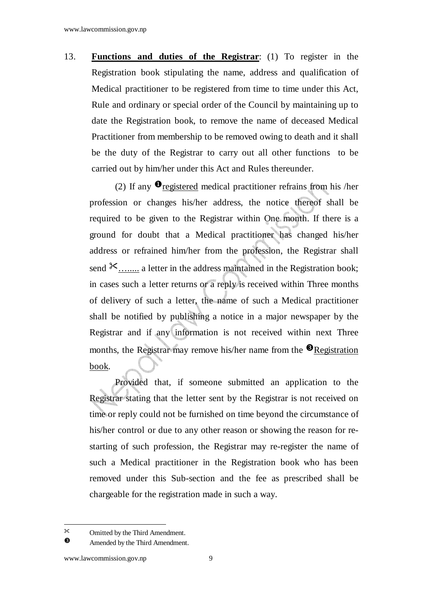13. **Functions and duties of the Registrar**: (1) To register in the Registration book stipulating the name, address and qualification of Medical practitioner to be registered from time to time under this Act, Rule and ordinary or special order of the Council by maintaining up to date the Registration book, to remove the name of deceased Medical Practitioner from membership to be removed owing to death and it shall be the duty of the Registrar to carry out all other functions to be carried out by him/her under this Act and Rules thereunder.

(2) If any  $\mathbf{0}$  registered medical practitioner refrains from his /her profession or changes his/her address, the notice thereof shall be required to be given to the Registrar within One month. If there is a ground for doubt that a Medical practitioner has changed his/her address or refrained him/her from the profession, the Registrar shall send  $\mathcal{K}$ ........ a letter in the address maintained in the Registration book; in cases such a letter returns or a reply is received within Three months of delivery of such a letter, the name of such a Medical practitioner shall be notified by publishing a notice in a major newspaper by the Registrar and if any information is not received within next Three months, the Registrar may remove his/her name from the  $\bullet$  Registration book.

Provided that, if someone submitted an application to the Registrar stating that the letter sent by the Registrar is not received on time or reply could not be furnished on time beyond the circumstance of his/her control or due to any other reason or showing the reason for restarting of such profession, the Registrar may re-register the name of such a Medical practitioner in the Registration book who has been removed under this Sub-section and the fee as prescribed shall be chargeable for the registration made in such a way.

Omitted by the Third Amendment.

 $\bullet$ Amended by the Third Amendment.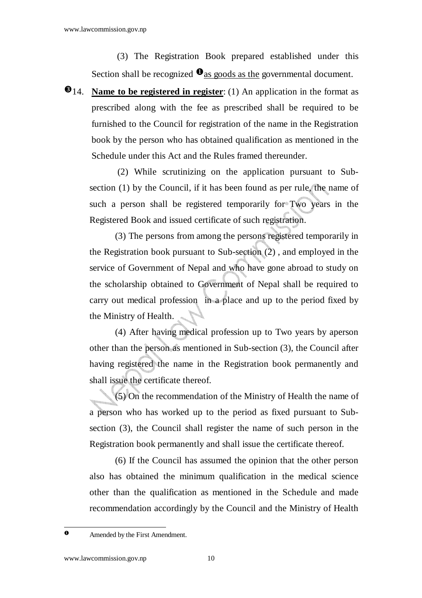(3) The Registration Book prepared established under this Section shall be recognized  $\mathbf{0}$  as goods as the governmental document.

 $\bullet$  14. **Name to be registered in register**: (1) An application in the format as prescribed along with the fee as prescribed shall be required to be furnished to the Council for registration of the name in the Registration book by the person who has obtained qualification as mentioned in the Schedule under this Act and the Rules framed thereunder.

 (2) While scrutinizing on the application pursuant to Subsection (1) by the Council, if it has been found as per rule, the name of such a person shall be registered temporarily for Two years in the Registered Book and issued certificate of such registration.

(3) The persons from among the persons registered temporarily in the Registration book pursuant to Sub-section (2) , and employed in the service of Government of Nepal and who have gone abroad to study on the scholarship obtained to Government of Nepal shall be required to carry out medical profession in a place and up to the period fixed by the Ministry of Health.

(4) After having medical profession up to Two years by aperson other than the person as mentioned in Sub-section (3), the Council after having registered the name in the Registration book permanently and shall issue the certificate thereof.

(5) On the recommendation of the Ministry of Health the name of a person who has worked up to the period as fixed pursuant to Subsection (3), the Council shall register the name of such person in the Registration book permanently and shall issue the certificate thereof.

(6) If the Council has assumed the opinion that the other person also has obtained the minimum qualification in the medical science other than the qualification as mentioned in the Schedule and made recommendation accordingly by the Council and the Ministry of Health

 $\mathbf{o}$ 

Amended by the First Amendment.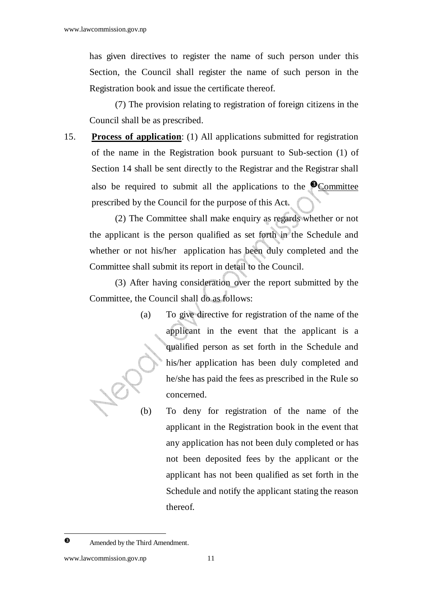has given directives to register the name of such person under this Section, the Council shall register the name of such person in the Registration book and issue the certificate thereof.

(7) The provision relating to registration of foreign citizens in the Council shall be as prescribed.

15. **Process of application**: (1) All applications submitted for registration of the name in the Registration book pursuant to Sub-section (1) of Section 14 shall be sent directly to the Registrar and the Registrar shall also be required to submit all the applications to the  $\odot$  Committee prescribed by the Council for the purpose of this Act.

(2) The Committee shall make enquiry as regards whether or not the applicant is the person qualified as set forth in the Schedule and whether or not his/her application has been duly completed and the Committee shall submit its report in detail to the Council.

(3) After having consideration over the report submitted by the Committee, the Council shall do as follows:

- (a) To give directive for registration of the name of the applicant in the event that the applicant is a qualified person as set forth in the Schedule and his/her application has been duly completed and he/she has paid the fees as prescribed in the Rule so concerned.
- (b) To deny for registration of the name of the applicant in the Registration book in the event that any application has not been duly completed or has not been deposited fees by the applicant or the applicant has not been qualified as set forth in the Schedule and notify the applicant stating the reason thereof.

- $\bullet$ 

Amended by the Third Amendment.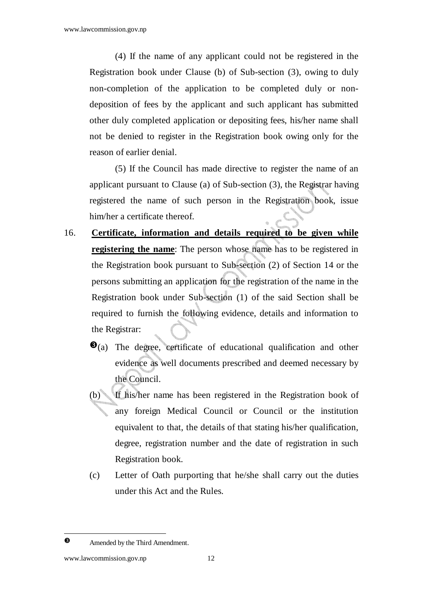(4) If the name of any applicant could not be registered in the Registration book under Clause (b) of Sub-section (3), owing to duly non-completion of the application to be completed duly or nondeposition of fees by the applicant and such applicant has submitted other duly completed application or depositing fees, his/her name shall not be denied to register in the Registration book owing only for the reason of earlier denial.

(5) If the Council has made directive to register the name of an applicant pursuant to Clause (a) of Sub-section (3), the Registrar having registered the name of such person in the Registration book, issue him/her a certificate thereof.

- 16. **Certificate, information and details required to be given while registering the name**: The person whose name has to be registered in the Registration book pursuant to Sub-section (2) of Section 14 or the persons submitting an application for the registration of the name in the Registration book under Sub-section (1) of the said Section shall be required to furnish the following evidence, details and information to the Registrar:
	- $\bullet$ (a) The degree, certificate of educational qualification and other evidence as well documents prescribed and deemed necessary by the Council.
	- (b) If his/her name has been registered in the Registration book of any foreign Medical Council or Council or the institution equivalent to that, the details of that stating his/her qualification, degree, registration number and the date of registration in such Registration book.
	- (c) Letter of Oath purporting that he/she shall carry out the duties under this Act and the Rules.

- $\bullet$ 

Amended by the Third Amendment.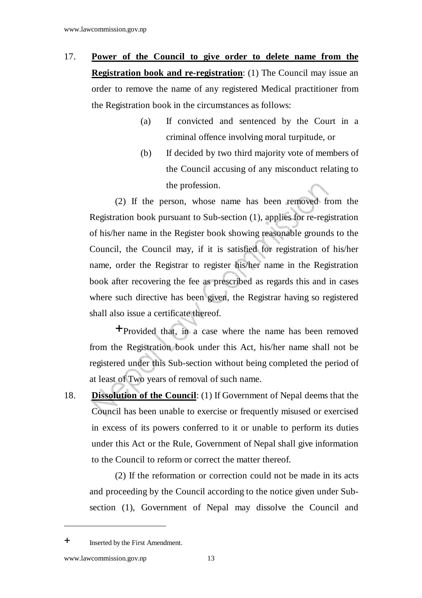- 17. **Power of the Council to give order to delete name from the Registration book and re-registration**: (1) The Council may issue an order to remove the name of any registered Medical practitioner from the Registration book in the circumstances as follows:
	- (a) If convicted and sentenced by the Court in a criminal offence involving moral turpitude, or
	- (b) If decided by two third majority vote of members of the Council accusing of any misconduct relating to the profession.

(2) If the person, whose name has been removed from the Registration book pursuant to Sub-section (1), applies for re-registration of his/her name in the Register book showing reasonable grounds to the Council, the Council may, if it is satisfied for registration of his/her name, order the Registrar to register his/her name in the Registration book after recovering the fee as prescribed as regards this and in cases where such directive has been given, the Registrar having so registered shall also issue a certificate thereof.

Provided that, in a case where the name has been removed from the Registration book under this Act, his/her name shall not be registered under this Sub-section without being completed the period of at least of Two years of removal of such name.

18. **Dissolution of the Council**: (1) If Government of Nepal deems that the Council has been unable to exercise or frequently misused or exercised in excess of its powers conferred to it or unable to perform its duties under this Act or the Rule, Government of Nepal shall give information to the Council to reform or correct the matter thereof.

(2) If the reformation or correction could not be made in its acts and proceeding by the Council according to the notice given under Subsection (1), Government of Nepal may dissolve the Council and

<sup>&</sup>lt;sup>+</sup> Inserted by the First Amendment.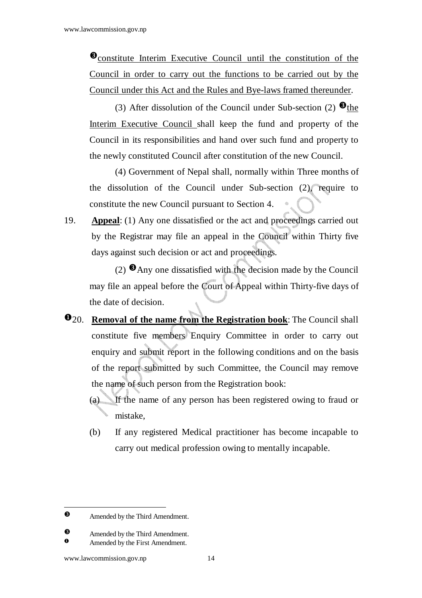**O**constitute Interim Executive Council until the constitution of the Council in order to carry out the functions to be carried out by the Council under this Act and the Rules and Bye-laws framed thereunder.

(3) After dissolution of the Council under Sub-section (2)  $\bullet$  the Interim Executive Council shall keep the fund and property of the Council in its responsibilities and hand over such fund and property to the newly constituted Council after constitution of the new Council.

(4) Government of Nepal shall, normally within Three months of the dissolution of the Council under Sub-section (2), require to constitute the new Council pursuant to Section 4.

19. **Appeal**: (1) Any one dissatisfied or the act and proceedings carried out by the Registrar may file an appeal in the Council within Thirty five days against such decision or act and proceedings.

(2)  $\Theta$  Any one dissatisfied with the decision made by the Council may file an appeal before the Court of Appeal within Thirty-five days of the date of decision.

- 20. **Removal of the name from the Registration book**: The Council shall constitute five members Enquiry Committee in order to carry out enquiry and submit report in the following conditions and on the basis of the report submitted by such Committee, the Council may remove the name of such person from the Registration book:
	- (a) If the name of any person has been registered owing to fraud or mistake,
	- (b) If any registered Medical practitioner has become incapable to carry out medical profession owing to mentally incapable.

 $\bullet$ Amended by the Third Amendment.

 $\bullet$ Amended by the Third Amendment.

Amended by the First Amendment.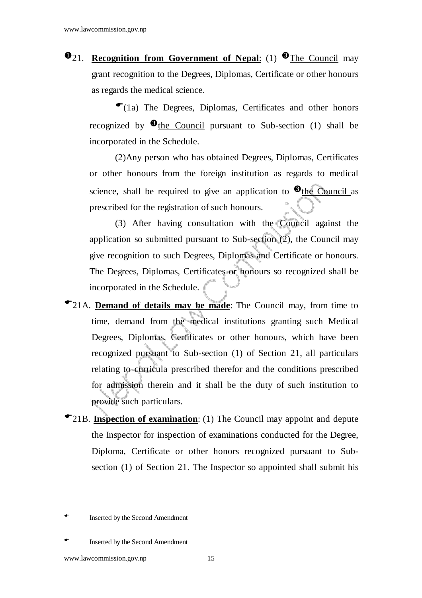**021. Recognition from Government of Nepal:** (1) **O**The Council may grant recognition to the Degrees, Diplomas, Certificate or other honours as regards the medical science.

 $\bullet$  (1a) The Degrees, Diplomas, Certificates and other honors recognized by  $\bullet$  the Council pursuant to Sub-section (1) shall be incorporated in the Schedule.

(2)Any person who has obtained Degrees, Diplomas, Certificates or other honours from the foreign institution as regards to medical science, shall be required to give an application to  $\bullet$  the Council as prescribed for the registration of such honours.

(3) After having consultation with the Council against the application so submitted pursuant to Sub-section (2), the Council may give recognition to such Degrees, Diplomas and Certificate or honours. The Degrees, Diplomas, Certificates or honours so recognized shall be incorporated in the Schedule.

- 21A. **Demand of details may be made**: The Council may, from time to time, demand from the medical institutions granting such Medical Degrees, Diplomas, Certificates or other honours, which have been recognized pursuant to Sub-section (1) of Section 21, all particulars relating to curricula prescribed therefor and the conditions prescribed for admission therein and it shall be the duty of such institution to provide such particulars.
- 21B. **Inspection of examination**: (1) The Council may appoint and depute the Inspector for inspection of examinations conducted for the Degree, Diploma, Certificate or other honors recognized pursuant to Subsection (1) of Section 21. The Inspector so appointed shall submit his

Inserted by the Second Amendment

Inserted by the Second Amendment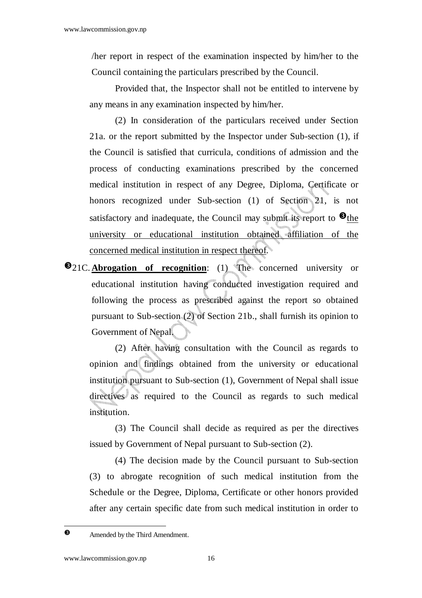/her report in respect of the examination inspected by him/her to the Council containing the particulars prescribed by the Council.

Provided that, the Inspector shall not be entitled to intervene by any means in any examination inspected by him/her.

(2) In consideration of the particulars received under Section 21a. or the report submitted by the Inspector under Sub-section (1), if the Council is satisfied that curricula, conditions of admission and the process of conducting examinations prescribed by the concerned medical institution in respect of any Degree, Diploma, Certificate or honors recognized under Sub-section (1) of Section 21, is not satisfactory and inadequate, the Council may submit its report to  $\bullet$  the university or educational institution obtained affiliation of the concerned medical institution in respect thereof.

**21C.** Abrogation of recognition: (1) The concerned university or educational institution having conducted investigation required and following the process as prescribed against the report so obtained pursuant to Sub-section (2) of Section 21b., shall furnish its opinion to Government of Nepal.

(2) After having consultation with the Council as regards to opinion and findings obtained from the university or educational institution pursuant to Sub-section (1), Government of Nepal shall issue directives as required to the Council as regards to such medical institution.

(3) The Council shall decide as required as per the directives issued by Government of Nepal pursuant to Sub-section (2).

(4) The decision made by the Council pursuant to Sub-section (3) to abrogate recognition of such medical institution from the Schedule or the Degree, Diploma, Certificate or other honors provided after any certain specific date from such medical institution in order to

l  $\bullet$ 

Amended by the Third Amendment.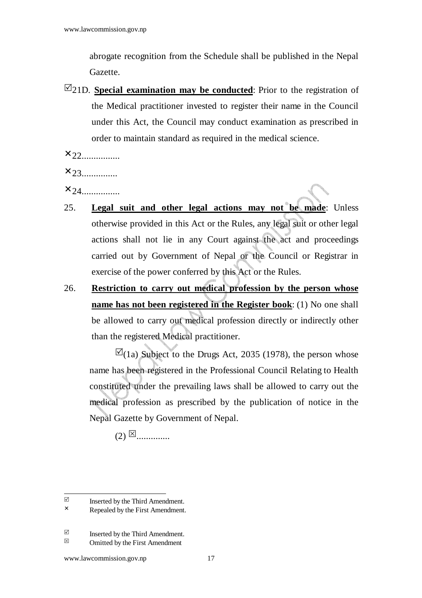abrogate recognition from the Schedule shall be published in the Nepal Gazette.

 $\boxtimes$ 21D. **Special examination may be conducted**: Prior to the registration of the Medical practitioner invested to register their name in the Council under this Act, the Council may conduct examination as prescribed in order to maintain standard as required in the medical science.

 $x_{22}$ 

 $x_{23.........}$ 

 $x_{24}$ 

- 25. **Legal suit and other legal actions may not be made**: Unless otherwise provided in this Act or the Rules, any legal suit or other legal actions shall not lie in any Court against the act and proceedings carried out by Government of Nepal or the Council or Registrar in exercise of the power conferred by this Act or the Rules.
- 26. **Restriction to carry out medical profession by the person whose name has not been registered in the Register book**: (1) No one shall be allowed to carry out medical profession directly or indirectly other than the registered Medical practitioner.

 $\boxtimes$ (1a) Subject to the Drugs Act, 2035 (1978), the person whose name has been registered in the Professional Council Relating to Health constituted under the prevailing laws shall be allowed to carry out the medical profession as prescribed by the publication of notice in the Nepal Gazette by Government of Nepal.

(2) ..............

 $\boxtimes$  Inserted by the Third Amendment.<br>  $\times$  Repealed by the First Amendment.

Repealed by the First Amendment.

Inserted by the Third Amendment.<br>  $\boxtimes$  Omitted by the First Amendment.

Omitted by the First Amendment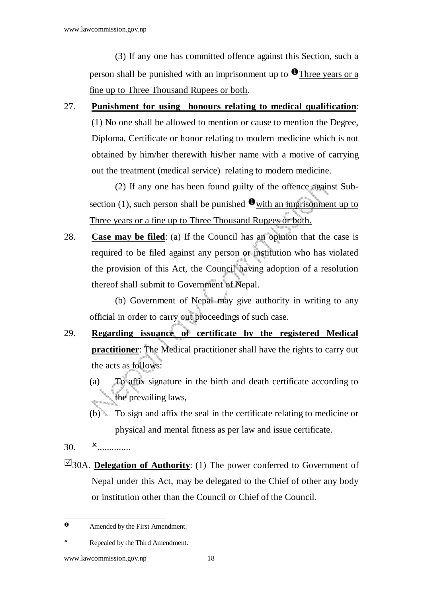(3) If any one has committed offence against this Section, such a person shall be punished with an imprisonment up to  $\bullet$  Three years or a fine up to Three Thousand Rupees or both.

27. **Punishment for using honours relating to medical qualification**: (1) No one shall be allowed to mention or cause to mention the Degree, Diploma, Certificate or honor relating to modern medicine which is not obtained by him/her therewith his/her name with a motive of carrying out the treatment (medical service) relating to modern medicine.

(2) If any one has been found guilty of the offence against Subsection (1), such person shall be punished  $\bullet$  with an imprisonment up to Three years or a fine up to Three Thousand Rupees or both.

28. **Case may be filed**: (a) If the Council has an opinion that the case is required to be filed against any person or institution who has violated the provision of this Act, the Council having adoption of a resolution thereof shall submit to Government of Nepal.

(b) Government of Nepal may give authority in writing to any official in order to carry out proceedings of such case.

- 29. **Regarding issuance of certificate by the registered Medical practitioner**: The Medical practitioner shall have the rights to carry out the acts as follows:
	- (a) To affix signature in the birth and death certificate according to the prevailing laws,
	- (b) To sign and affix the seal in the certificate relating to medicine or physical and mental fitness as per law and issue certificate.
- 30. **x** ...............
- $\boxtimes$ 30A. **Delegation of Authority**: (1) The power conferred to Government of Nepal under this Act, may be delegated to the Chief of other any body or institution other than the Council or Chief of the Council.

 $\bullet$ Amended by the First Amendment.

 Repealed by the Third Amendment.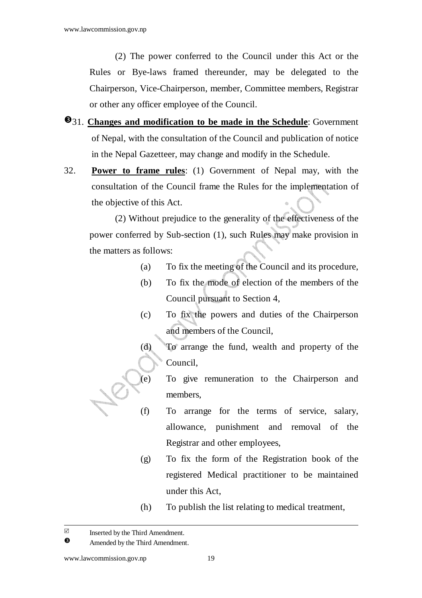(2) The power conferred to the Council under this Act or the Rules or Bye-laws framed thereunder, may be delegated to the Chairperson, Vice-Chairperson, member, Committee members, Registrar or other any officer employee of the Council.

- $\bullet$ 31. **Changes and modification to be made in the Schedule**: Government of Nepal, with the consultation of the Council and publication of notice in the Nepal Gazetteer, may change and modify in the Schedule.
- 32. **Power to frame rules**: (1) Government of Nepal may, with the consultation of the Council frame the Rules for the implementation of the objective of this Act.

(2) Without prejudice to the generality of the effectiveness of the power conferred by Sub-section (1), such Rules may make provision in the matters as follows:

- (a) To fix the meeting of the Council and its procedure,
- (b) To fix the mode of election of the members of the Council pursuant to Section 4,
- (c) To fix the powers and duties of the Chairperson and members of the Council,
- (d) To arrange the fund, wealth and property of the Council,
- (e) To give remuneration to the Chairperson and members,
- (f) To arrange for the terms of service, salary, allowance, punishment and removal of the Registrar and other employees,
- (g) To fix the form of the Registration book of the registered Medical practitioner to be maintained under this Act,
- (h) To publish the list relating to medical treatment,

 $\triangledown$ Inserted by the Third Amendment.

 $\bullet$ Amended by the Third Amendment.